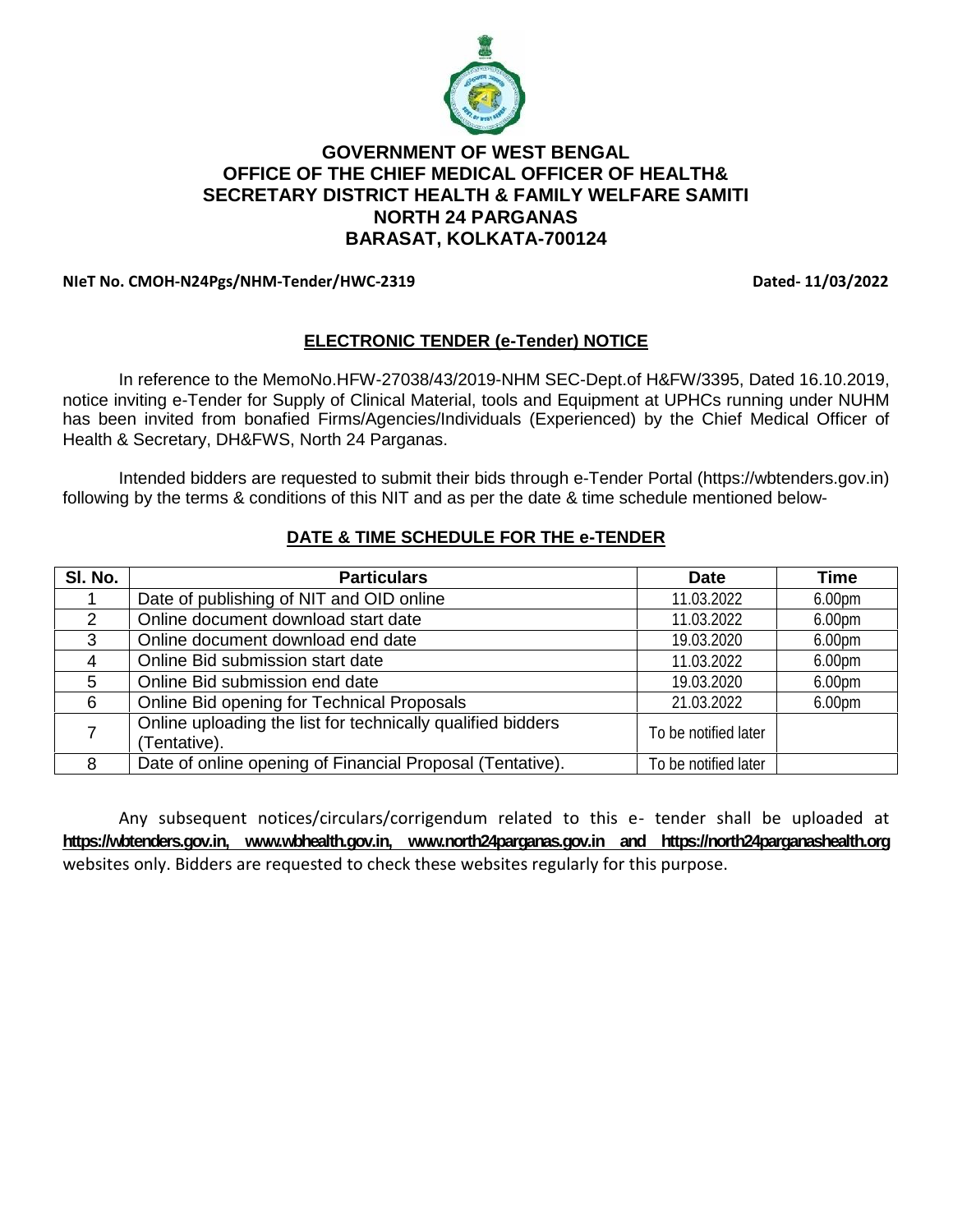

# **GOVERNMENT OF WEST BENGAL OFFICE OF THE CHIEF MEDICAL OFFICER OF HEALTH& SECRETARY DISTRICT HEALTH & FAMILY WELFARE SAMITI NORTH 24 PARGANAS BARASAT, KOLKATA-700124**

#### **NIeT No. CMOH-N24Pgs/NHM-Tender/HWC-2319 Dated- 11/03/2022**

# **ELECTRONIC TENDER (e-Tender) NOTICE**

In reference to the MemoNo.HFW-27038/43/2019-NHM SEC-Dept.of H&FW/3395, Dated 16.10.2019, notice inviting e-Tender for Supply of Clinical Material, tools and Equipment at UPHCs running under NUHM has been invited from bonafied Firms/Agencies/Individuals (Experienced) by the Chief Medical Officer of Health & Secretary, DH&FWS, North 24 Parganas.

Intended bidders are requested to submit their bids through e-Tender Portal (https://wbtenders.gov.in) following by the terms & conditions of this NIT and as per the date & time schedule mentioned below-

| SI. No. | <b>Particulars</b>                                                         | <b>Date</b>          | Time               |
|---------|----------------------------------------------------------------------------|----------------------|--------------------|
|         | Date of publishing of NIT and OID online                                   | 11.03.2022           | 6.00 <sub>pm</sub> |
| 2       | Online document download start date                                        | 11.03.2022           | 6.00 <sub>pm</sub> |
| 3       | Online document download end date                                          | 19.03.2020           | 6.00pm             |
| 4       | Online Bid submission start date                                           | 11.03.2022           | 6.00pm             |
| 5       | Online Bid submission end date                                             | 19.03.2020           | 6.00 <sub>pm</sub> |
| 6       | Online Bid opening for Technical Proposals                                 | 21.03.2022           | 6.00pm             |
|         | Online uploading the list for technically qualified bidders<br>Tentative). | To be notified later |                    |
| 8       | Date of online opening of Financial Proposal (Tentative).                  | To be notified later |                    |

#### **DATE & TIME SCHEDULE FOR THE e-TENDER**

Any subsequent notices/circulars/corrigendum related to this e- tender shall be uploaded at **https://wbtenders.gov.in, www.wbhealth.gov.in, www.north24parganas.gov.in and https://north24parganashealth.org** websites only. Bidders are requested to check these websites regularly for this purpose.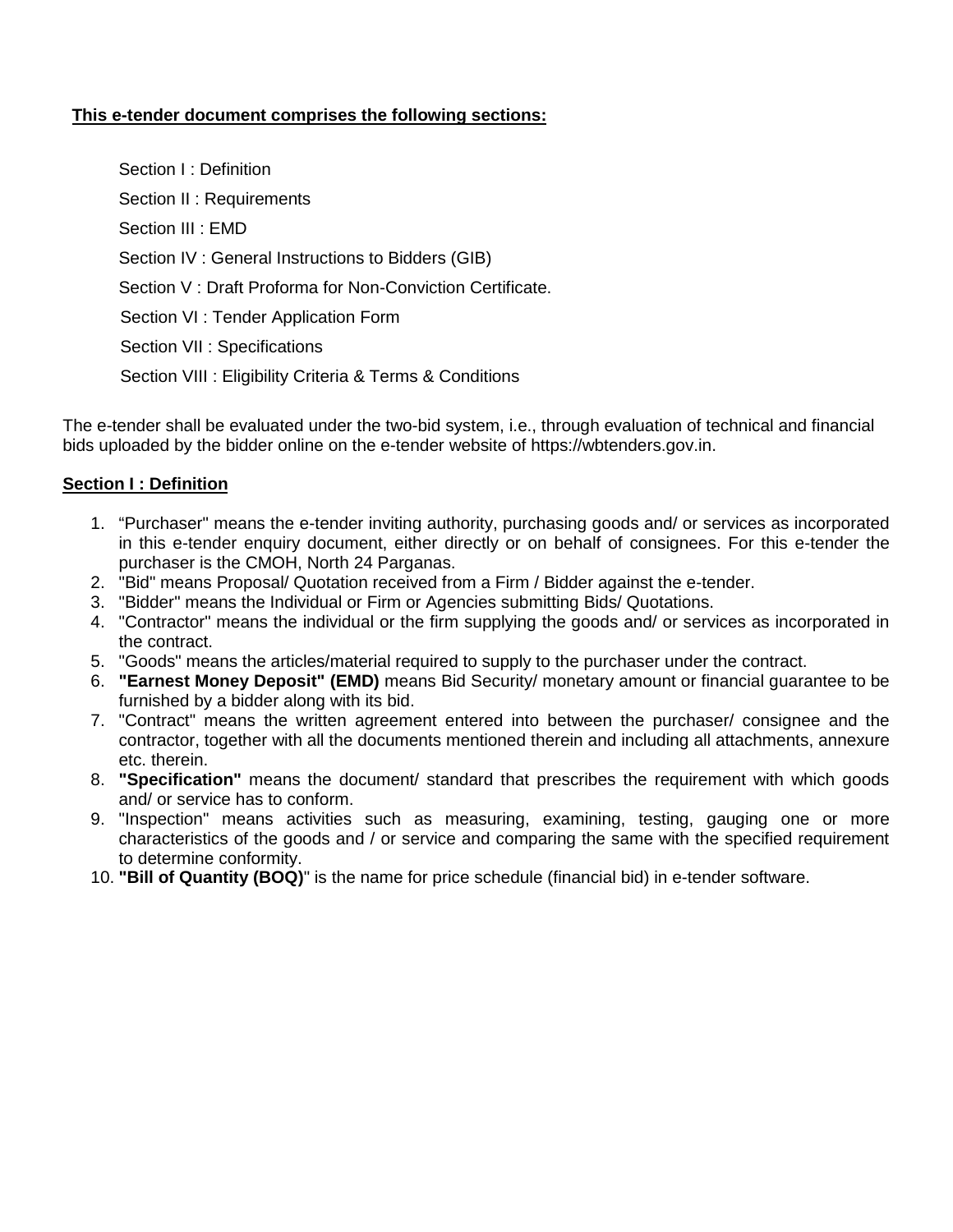### **This e-tender document comprises the following sections:**

Section I · Definition Section II : Requirements Section III : EMD Section IV : General Instructions to Bidders (GIB) Section V : Draft Proforma for Non-Conviction Certificate. Section VI : Tender Application Form Section VII : Specifications Section VIII : Eligibility Criteria & Terms & Conditions

The e-tender shall be evaluated under the two-bid system, i.e., through evaluation of technical and financial bids uploaded by the bidder online on the e-tender website of https://wbtenders.gov.in.

# **Section I : Definition**

- 1. "Purchaser" means the e-tender inviting authority, purchasing goods and/ or services as incorporated in this e-tender enquiry document, either directly or on behalf of consignees. For this e-tender the purchaser is the CMOH, North 24 Parganas.
- 2. "Bid" means Proposal/ Quotation received from a Firm / Bidder against the e-tender.
- 3. "Bidder" means the Individual or Firm or Agencies submitting Bids/ Quotations.
- 4. "Contractor" means the individual or the firm supplying the goods and/ or services as incorporated in the contract.
- 5. "Goods" means the articles/material required to supply to the purchaser under the contract.
- 6. **"Earnest Money Deposit" (EMD)** means Bid Security/ monetary amount or financial guarantee to be furnished by a bidder along with its bid.
- 7. "Contract" means the written agreement entered into between the purchaser/ consignee and the contractor, together with all the documents mentioned therein and including all attachments, annexure etc. therein.
- 8. **"Specification"** means the document/ standard that prescribes the requirement with which goods and/ or service has to conform.
- 9. "Inspection" means activities such as measuring, examining, testing, gauging one or more characteristics of the goods and / or service and comparing the same with the specified requirement to determine conformity.
- 10. **"Bill of Quantity (BOQ)**" is the name for price schedule (financial bid) in e-tender software.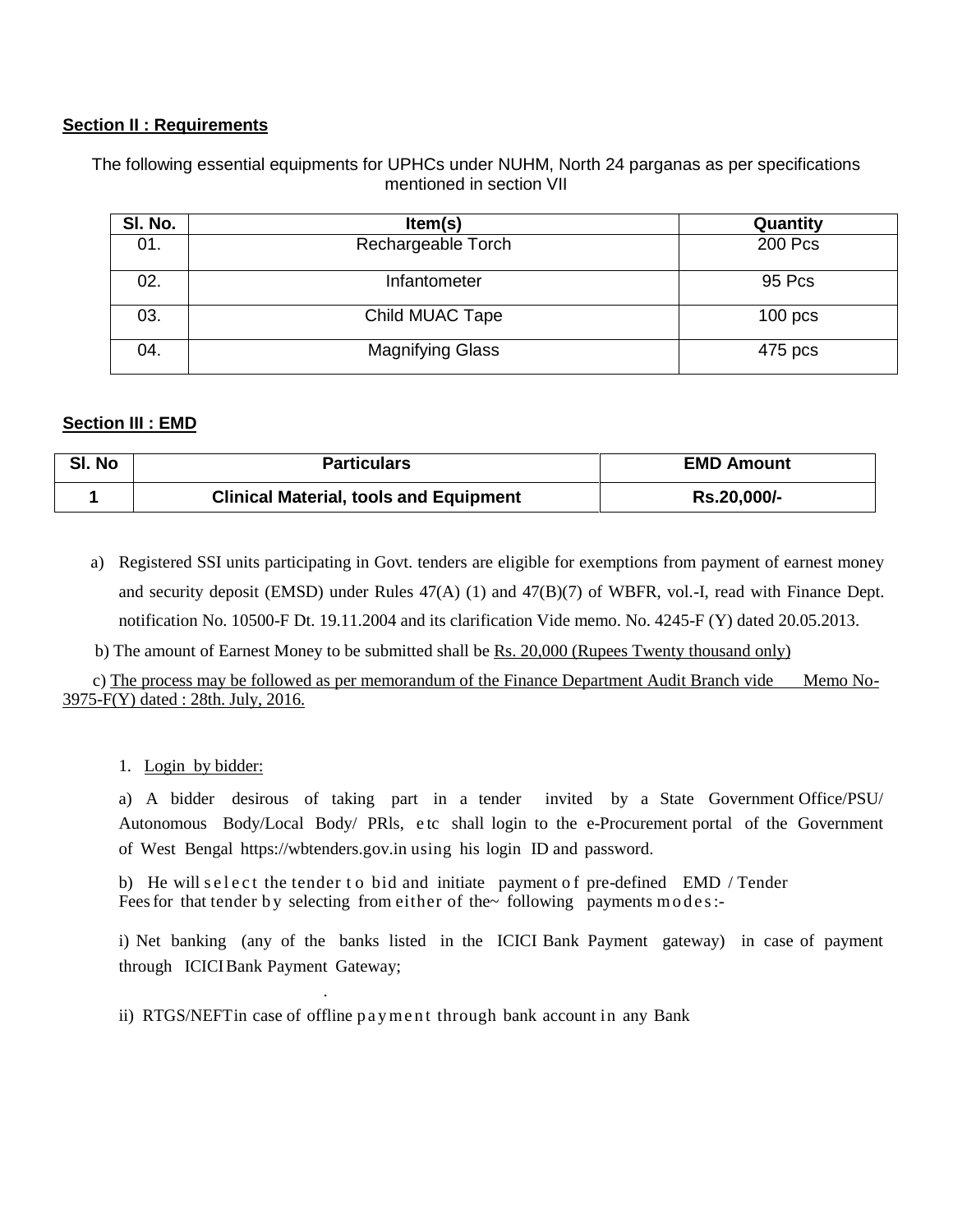#### **Section II : Requirements**

The following essential equipments for UPHCs under NUHM, North 24 parganas as per specifications mentioned in section VII

| SI. No. | Item(s)                 | Quantity  |
|---------|-------------------------|-----------|
| 01.     | Rechargeable Torch      | 200 Pcs   |
| 02.     | Infantometer            | 95 Pcs    |
| 03.     | Child MUAC Tape         | $100$ pcs |
| 04.     | <b>Magnifying Glass</b> | 475 pcs   |

#### **Section III : EMD**

| SI. No | <b>Particulars</b>                            | <b>EMD Amount</b> |
|--------|-----------------------------------------------|-------------------|
|        | <b>Clinical Material, tools and Equipment</b> | Rs.20,000/-       |

a) Registered SSI units participating in Govt. tenders are eligible for exemptions from payment of earnest money and security deposit (EMSD) under Rules 47(A) (1) and 47(B)(7) of WBFR, vol.-I, read with Finance Dept. notification No. 10500-F Dt. 19.11.2004 and its clarification Vide memo. No. 4245-F (Y) dated 20.05.2013.

b) The amount of Earnest Money to be submitted shall be Rs. 20,000 (Rupees Twenty thousand only)

c) The process may be followed as per memorandum of the Finance Department Audit Branch vide Memo No- 3975-F(Y) dated : 28th. July, 2016.

1. Login by bidder:

a) A bidder desirous of taking part in a tender invited by a State Government Office/PSU/ Autonomous Body/Local Body/ PRls, e tc shall login to the e-Procurement portal of the Government of West Bengal https://wbtenders.gov.in using his login ID and password. a) A bidder desirous of taking part in a tender invited by a State Government Office<br>Autonomous Body/Local Body/ PRIs, etc shall login to the e-Procurement portal of the Govern<br>of West Bengal https://wbtenders.gov.in using

b) He will select the tender to bid and initiate payment of pre-defined EMD / Tender Feesfor that tender by selecting from either of the~ following payments modes:-

i) Net banking (any of the banks listed in the ICICI Bank Payment gateway) in case of payment through ICICIBank Payment Gateway; i) Net banking (any of the banks listed in the ICICI Bank Payment gatewa<br>through ICICI Bank Payment Gateway;<br>ii) RTGS/NEFT in case of offline p ay ment through bank account in any Bank

.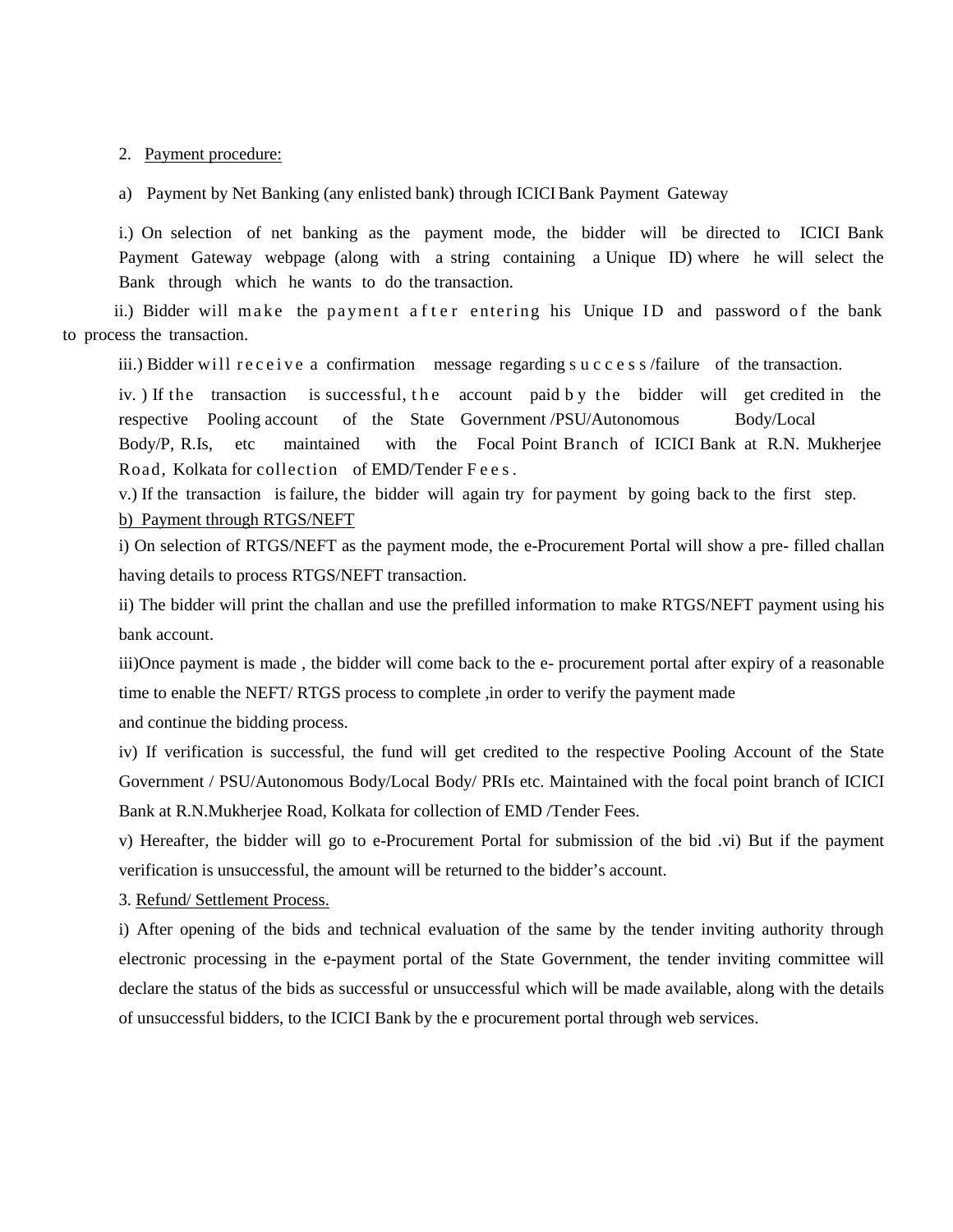2. Payment procedure:

a) Payment by Net Banking (any enlisted bank) through ICICI Bank Payment Gateway

i.) On selection of net banking as the payment mode, the bidder will be directed to ICICI Bank Payment Gateway webpage (along with a string containing a Unique ID) where he will select the Bank through which he wants to do the transaction.

ii.) Bidder will make the payment after entering his Unique ID and password of the bank to process the transaction. Fayment Gateway webpage (along will a sting containing a cinque ID) where he will select the<br>Bank through which he wants to do the transaction.<br>ii.) Bidder will make the payment after entering his Unique ID and password of

i.) Bidder will make the payment after entering his Unique ID and password of the bank<br>ses the transaction.<br>iii.) Bidder will receive a confirmation message regarding success /failure of the transaction.<br>iv. ) If the trans respective Pooling account of the State Government /PSU/Autonomous Body/Local Body/P, R.Is, etc maintained with the Focal Point Branch of ICICI Bank at R.N. Mukherjee iv. If the transaction is successful, the account paid by the bidder will get credited in the respective Pooling account of the State Government /PSU/Autonomous Body/Local Body/P, R.Is, etc maintained with the Focal Point

b) Payment through RTGS/NEFT

i) On selection of RTGS/NEFT as the payment mode, the e-Procurement Portal will show a pre- filled challan having details to process RTGS/NEFT transaction.

ii) The bidder will print the challan and use the prefilled information to make RTGS/NEFT payment using his bank account.

iii)Once payment is made , the bidder will come back to the e- procurement portal after expiry of a reasonable time to enable the NEFT/ RTGS process to complete ,in order to verify the payment made

and continue the bidding process.

iv) If verification is successful, the fund will get credited to the respective Pooling Account of the State Government / PSU/Autonomous Body/Local Body/ PRIs etc. Maintained with the focal point branch of ICICI Bank at R.N.Mukherjee Road, Kolkata for collection of EMD /Tender Fees.

v) Hereafter, the bidder will go to e-Procurement Portal for submission of the bid .vi) But if the payment verification is unsuccessful, the amount will be returned to the bidder's account.

3. Refund/ Settlement Process.

i) After opening of the bids and technical evaluation of the same by the tender inviting authority through electronic processing in the e-payment portal of the State Government, the tender inviting committee will declare the status of the bids as successful or unsuccessful which will be made available, along with the details of unsuccessful bidders, to the ICICI Bank by the e procurement portal through web services.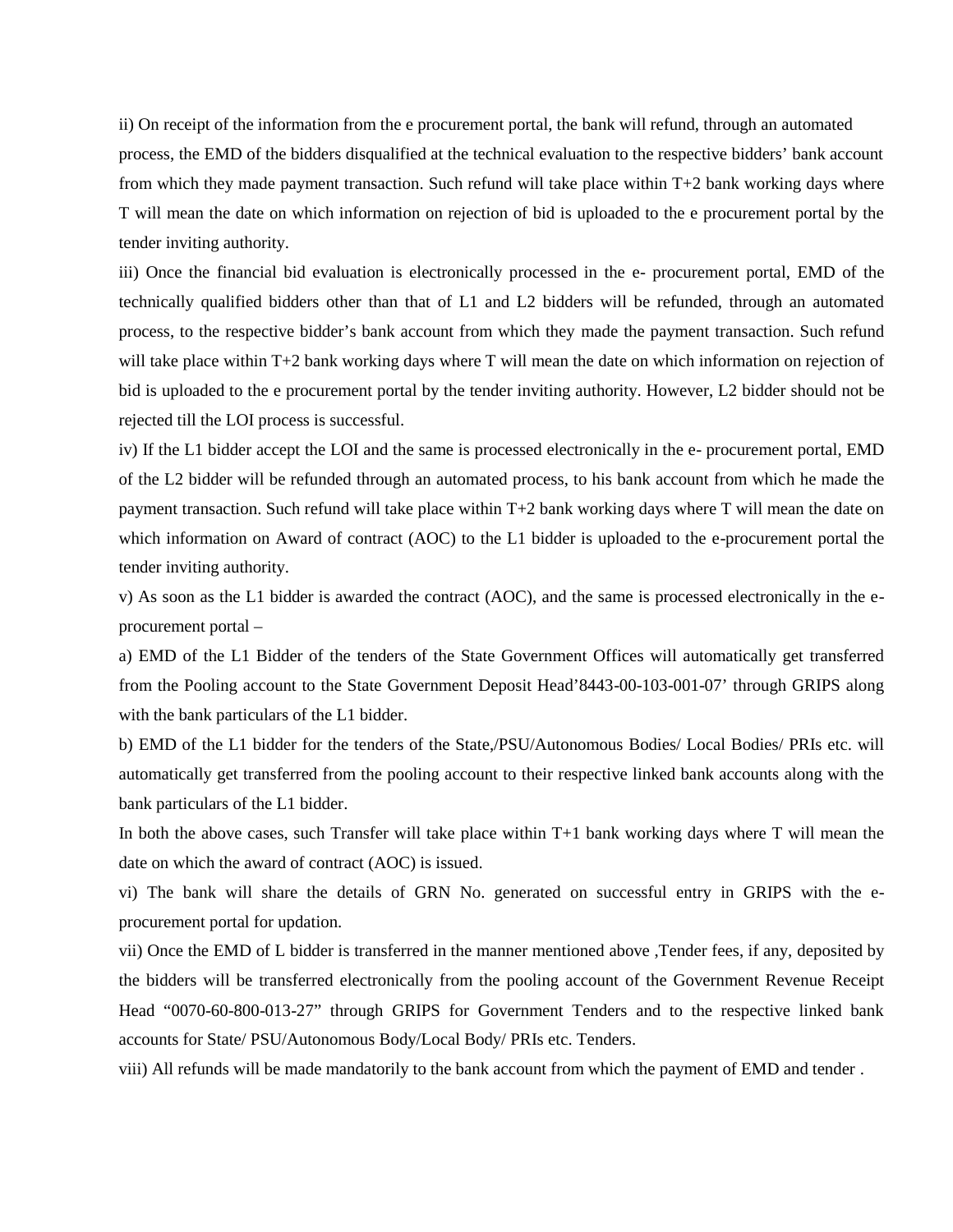ii) On receipt of the information from the e procurement portal, the bank will refund, through an automated process, the EMD of the bidders disqualified at the technical evaluation to the respective bidders' bank account from which they made payment transaction. Such refund will take place within T+2 bank working days where T will mean the date on which information on rejection of bid is uploaded to the e procurement portal by the tender inviting authority.

iii) Once the financial bid evaluation is electronically processed in the e- procurement portal, EMD of the technically qualified bidders other than that of L1 and L2 bidders will be refunded, through an automated process, to the respective bidder's bank account from which they made the payment transaction. Such refund will take place within T+2 bank working days where T will mean the date on which information on rejection of bid is uploaded to the e procurement portal by the tender inviting authority. However, L2 bidder should not be rejected till the LOI process is successful.

iv) If the L1 bidder accept the LOI and the same is processed electronically in the e- procurement portal, EMD of the L2 bidder will be refunded through an automated process, to his bank account from which he made the payment transaction. Such refund will take place within T+2 bank working days where T will mean the date on which information on Award of contract (AOC) to the L1 bidder is uploaded to the e-procurement portal the tender inviting authority.

v) As soon as the L1 bidder is awarded the contract (AOC), and the same is processed electronically in the e procurement portal –

a) EMD of the L1 Bidder of the tenders of the State Government Offices will automatically get transferred from the Pooling account to the State Government Deposit Head'8443-00-103-001-07' through GRIPS along with the bank particulars of the L1 bidder.

b) EMD of the L1 bidder for the tenders of the State,/PSU/Autonomous Bodies/ Local Bodies/ PRIs etc. will automatically get transferred from the pooling account to their respective linked bank accounts along with the bank particulars of the L1 bidder.

In both the above cases, such Transfer will take place within  $T+1$  bank working days where T will mean the date on which the award of contract (AOC) is issued.

vi) The bank will share the details of GRN No. generated on successful entry in GRIPS with the e procurement portal for updation.

vii) Once the EMD of L bidder is transferred in the manner mentioned above ,Tender fees, if any, deposited by the bidders will be transferred electronically from the pooling account of the Government Revenue Receipt Head "0070-60-800-013-27" through GRIPS for Government Tenders and to the respective linked bank accounts for State/ PSU/Autonomous Body/Local Body/ PRIs etc. Tenders.

viii) All refunds will be made mandatorily to the bank account from which the payment of EMD and tender .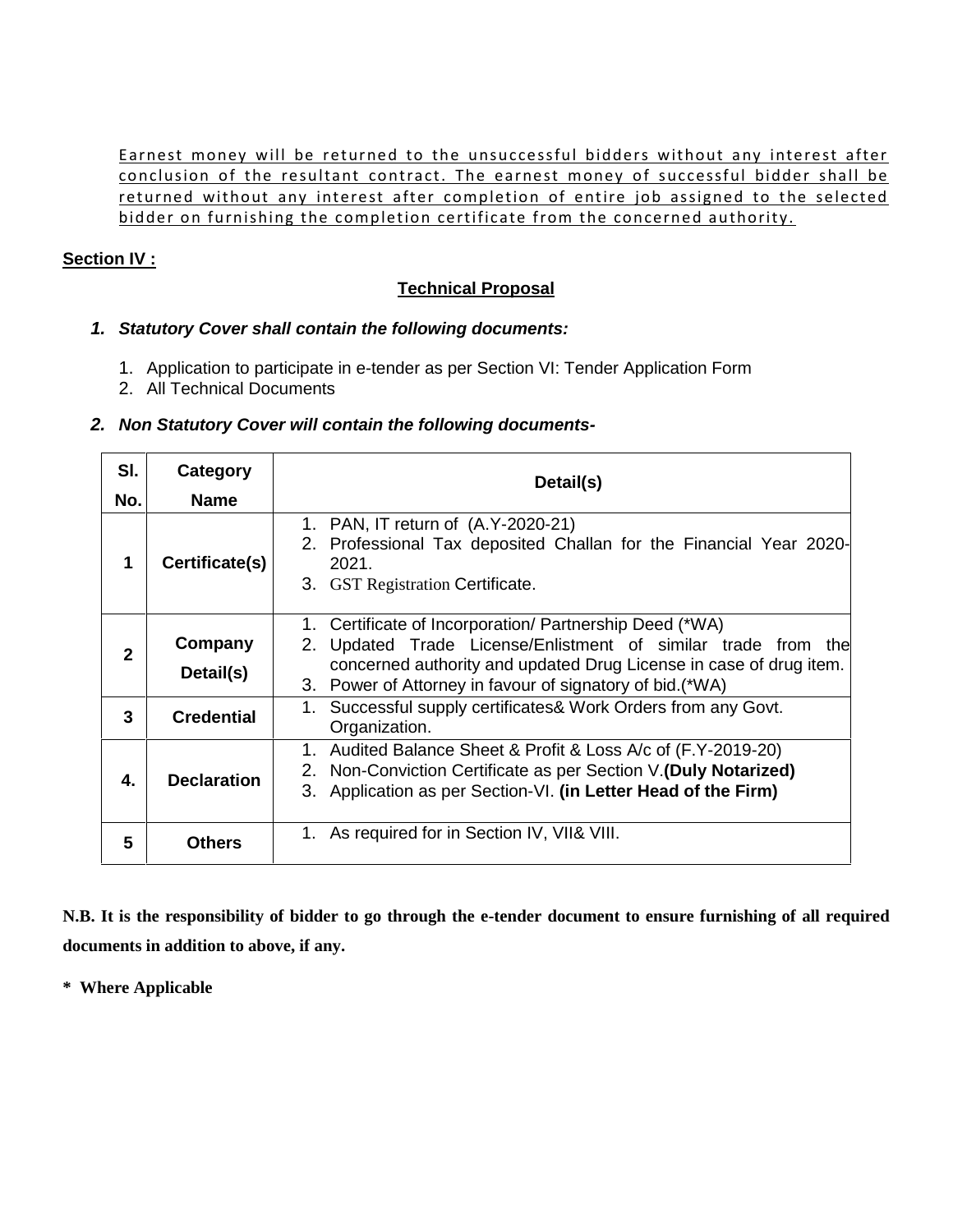Earnest money will be returned to the unsuccessful bidders without any interest after<br>conclusion of the resultant contract. The earnest money of successful bidder shall be Earnest money will be returned to the unsuccessful bidders without any interest after<br>conclusion of the resultant contract. The earnest money of successful bidder shall be<br>returned without any interest after completion of Earnest money will be returned to the unsuccessful bidders without any interest after<br>conclusion of the resultant contract. The earnest money of successful bidder shall be<br>bidder on furnishing the completion certificate fr Earnest money will be returned to the unsuccessful bidders without any interest after<br>conclusion of the resultant contract. The earnest money of successful bidder shall be<br>returned without any interest after completion of

# **Section IV :**

# **Technical Proposal**

# *1. Statutory Cover shall contain the following documents:*

- 1. Application to participate in e-tender as per Section VI: Tender Application Form
- 2. All Technical Documents

# *2. Non Statutory Cover will contain the following documents-*

| SI.            | Category             | Detail(s)                                                                                                                                                                                                                                                |
|----------------|----------------------|----------------------------------------------------------------------------------------------------------------------------------------------------------------------------------------------------------------------------------------------------------|
| No.            | <b>Name</b>          |                                                                                                                                                                                                                                                          |
| 1              | Certificate(s)       | 1. PAN, IT return of (A.Y-2020-21)<br>2. Professional Tax deposited Challan for the Financial Year 2020-<br>2021.<br>3. GST Registration Certificate.                                                                                                    |
| $\mathfrak{p}$ | Company<br>Detail(s) | 1. Certificate of Incorporation/ Partnership Deed (*WA)<br>Updated Trade License/Enlistment of similar trade from the<br>concerned authority and updated Drug License in case of drug item.<br>3. Power of Attorney in favour of signatory of bid. (*WA) |
| 3              | <b>Credential</b>    | 1. Successful supply certificates & Work Orders from any Govt.<br>Organization.                                                                                                                                                                          |
| 4.             | <b>Declaration</b>   | 1. Audited Balance Sheet & Profit & Loss A/c of (F.Y-2019-20)<br>2. Non-Conviction Certificate as per Section V.(Duly Notarized)<br>3. Application as per Section-VI. (in Letter Head of the Firm)                                                       |
| 5              | <b>Others</b>        | 1. As required for in Section IV, VII& VIII.                                                                                                                                                                                                             |

**N.B. It is the responsibility of bidder to go through the e-tender document to ensure furnishing of all required documents in addition to above, if any.**

**\* Where Applicable**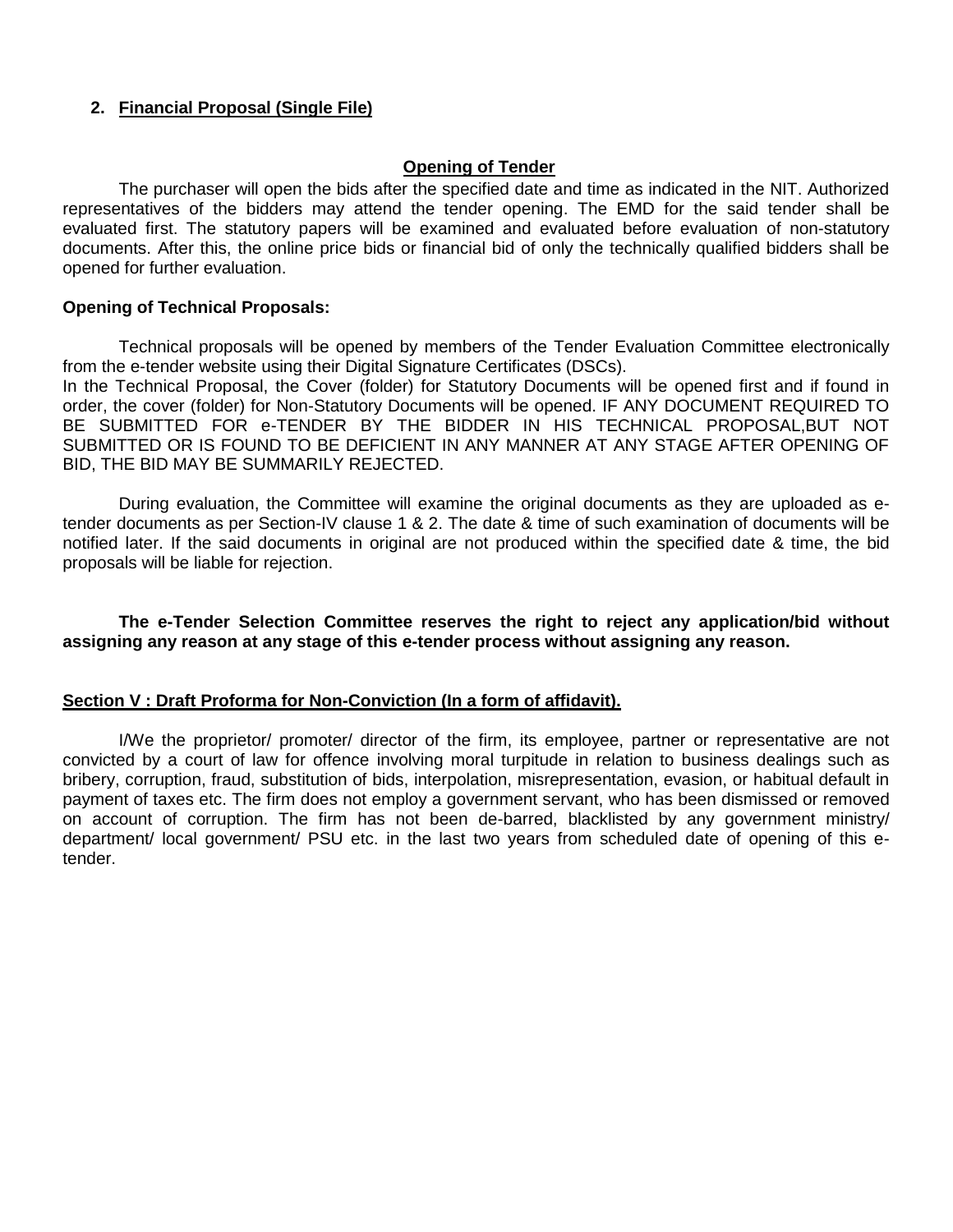### **2. Financial Proposal (Single File)**

#### **Opening of Tender**

The purchaser will open the bids after the specified date and time as indicated in the NIT. Authorized representatives of the bidders may attend the tender opening. The EMD for the said tender shall be evaluated first. The statutory papers will be examined and evaluated before evaluation of non-statutory documents. After this, the online price bids or financial bid of only the technically qualified bidders shall be opened for further evaluation.

#### **Opening of Technical Proposals:**

Technical proposals will be opened by members of the Tender Evaluation Committee electronically from the e-tender website using their Digital Signature Certificates (DSCs).

In the Technical Proposal, the Cover (folder) for Statutory Documents will be opened first and if found in order, the cover (folder) for Non-Statutory Documents will be opened. IF ANY DOCUMENT REQUIRED TO BE SUBMITTED FOR e-TENDER BY THE BIDDER IN HIS TECHNICAL PROPOSAL,BUT NOT SUBMITTED OR IS FOUND TO BE DEFICIENT IN ANY MANNER AT ANY STAGE AFTER OPENING OF BID, THE BID MAY BE SUMMARILY REJECTED.

During evaluation, the Committee will examine the original documents as they are uploaded as etender documents as per Section-IV clause 1 & 2. The date & time of such examination of documents will be notified later. If the said documents in original are not produced within the specified date & time, the bid proposals will be liable for rejection.

#### **The e-Tender Selection Committee reserves the right to reject any application/bid without assigning any reason at any stage of this e-tender process without assigning any reason.**

#### **Section V : Draft Proforma for Non-Conviction (In a form of affidavit).**

I/We the proprietor/ promoter/ director of the firm, its employee, partner or representative are not convicted by a court of law for offence involving moral turpitude in relation to business dealings such as bribery, corruption, fraud, substitution of bids, interpolation, misrepresentation, evasion, or habitual default in payment of taxes etc. The firm does not employ a government servant, who has been dismissed or removed on account of corruption. The firm has not been de-barred, blacklisted by any government ministry/ department/ local government/ PSU etc. in the last two years from scheduled date of opening of this etender.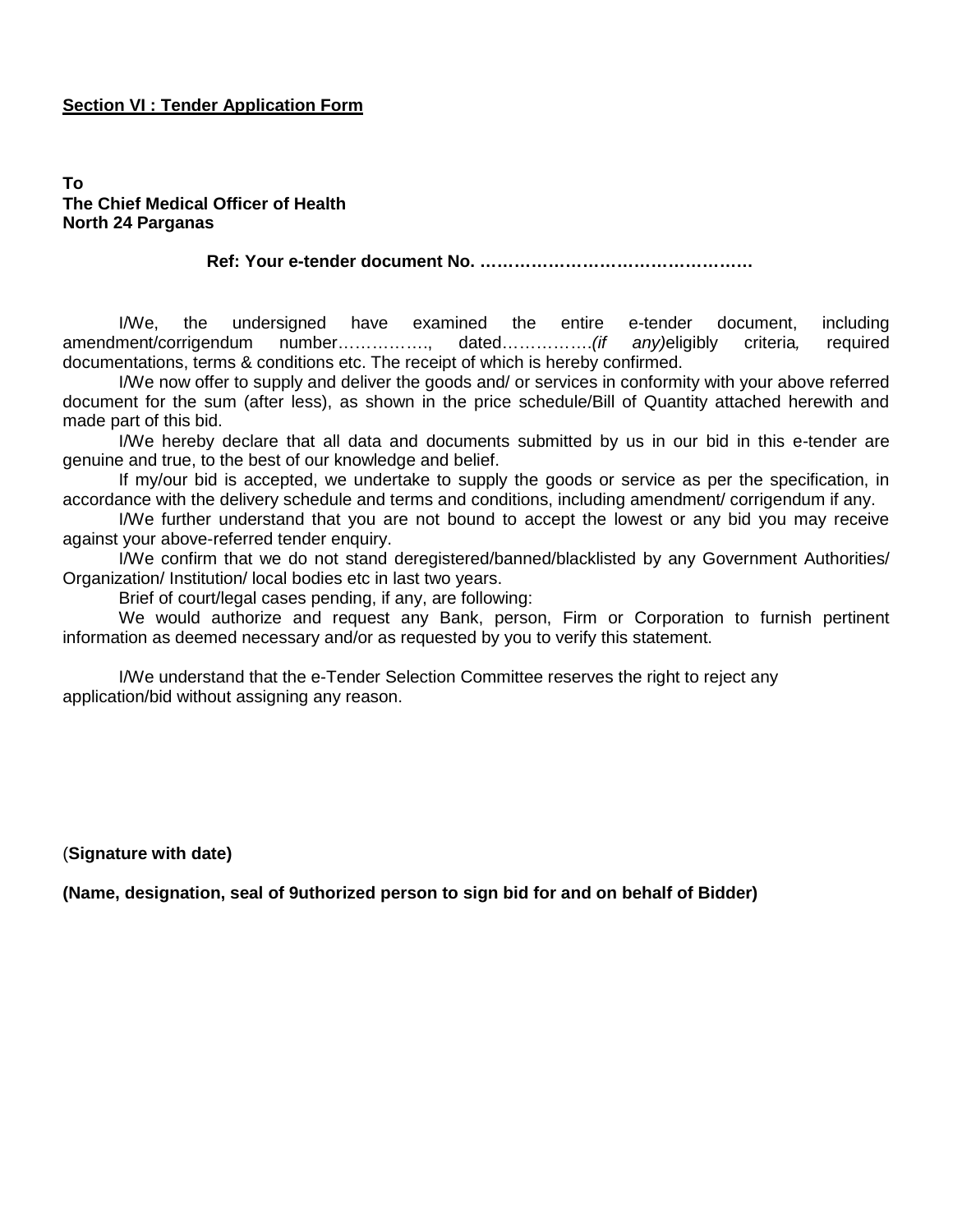#### **Section VI : Tender Application Form**

#### **To The Chief Medical Officer of Health North 24 Parganas**

**Ref: Your e-tender document No. …………………………………………**

I/We, the undersigned have examined the entire e-tender document, including amendment/corrigendum number……………., dated…………….*(if any)*eligibly criteria*,* required documentations, terms & conditions etc. The receipt of which is hereby confirmed.

I/We now offer to supply and deliver the goods and/ or services in conformity with your above referred document for the sum (after less), as shown in the price schedule/Bill of Quantity attached herewith and made part of this bid.

I/We hereby declare that all data and documents submitted by us in our bid in this e-tender are genuine and true, to the best of our knowledge and belief.

If my/our bid is accepted, we undertake to supply the goods or service as per the specification, in accordance with the delivery schedule and terms and conditions, including amendment/ corrigendum if any.

I/We further understand that you are not bound to accept the lowest or any bid you may receive against your above-referred tender enquiry.

I/We confirm that we do not stand deregistered/banned/blacklisted by any Government Authorities/ Organization/ Institution/ local bodies etc in last two years.

Brief of court/legal cases pending, if any, are following:

We would authorize and request any Bank, person, Firm or Corporation to furnish pertinent information as deemed necessary and/or as requested by you to verify this statement.

I/We understand that the e-Tender Selection Committee reserves the right to reject any application/bid without assigning any reason.

(**Signature with date)**

**(Name, designation, seal of 9uthorized person to sign bid for and on behalf of Bidder)**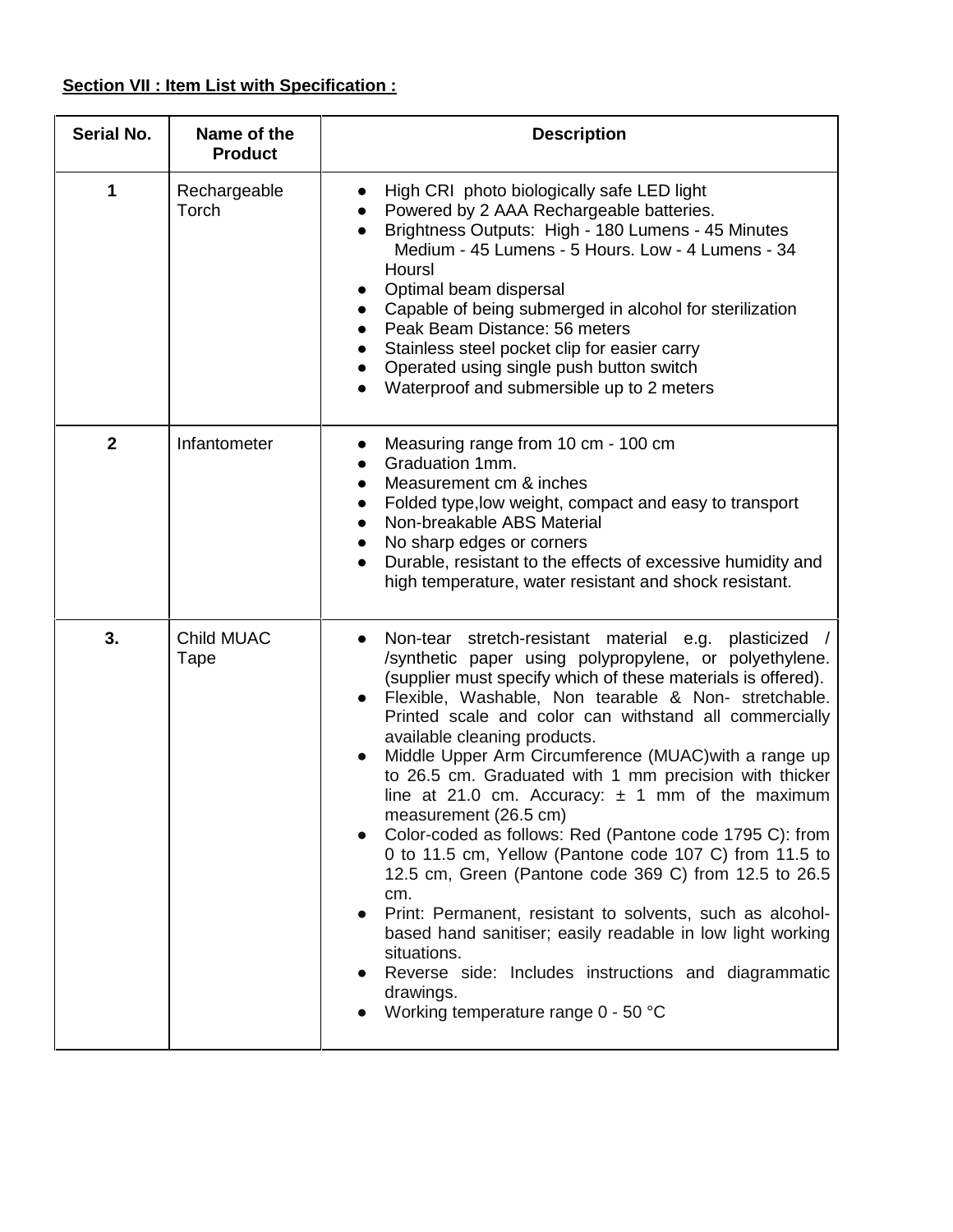# **Section VII : Item List with Specification :**

| <b>Serial No.</b> | Name of the<br><b>Product</b> | <b>Description</b>                                                                                                                                                                                                                                                                                                                                                                                                                                                                                                                                                                                                                                                                                                                                                                                                                                                                                                                                                              |
|-------------------|-------------------------------|---------------------------------------------------------------------------------------------------------------------------------------------------------------------------------------------------------------------------------------------------------------------------------------------------------------------------------------------------------------------------------------------------------------------------------------------------------------------------------------------------------------------------------------------------------------------------------------------------------------------------------------------------------------------------------------------------------------------------------------------------------------------------------------------------------------------------------------------------------------------------------------------------------------------------------------------------------------------------------|
|                   | Rechargeable<br>Torch         | High CRI photo biologically safe LED light<br>Powered by 2 AAA Rechargeable batteries.<br>Brightness Outputs: High - 180 Lumens - 45 Minutes<br>Medium - 45 Lumens - 5 Hours. Low - 4 Lumens - 34<br>Hoursl<br>Optimal beam dispersal<br>Capable of being submerged in alcohol for sterilization<br>Peak Beam Distance: 56 meters<br>Stainless steel pocket clip for easier carry<br>Operated using single push button switch<br>Waterproof and submersible up to 2 meters                                                                                                                                                                                                                                                                                                                                                                                                                                                                                                      |
| $\overline{2}$    | Infantometer                  | Measuring range from 10 cm - 100 cm<br>Graduation 1mm.<br>Measurement cm & inches<br>Folded type, low weight, compact and easy to transport<br>Non-breakable ABS Material<br>No sharp edges or corners<br>Durable, resistant to the effects of excessive humidity and<br>high temperature, water resistant and shock resistant.                                                                                                                                                                                                                                                                                                                                                                                                                                                                                                                                                                                                                                                 |
| 3.                | Child MUAC<br>Tape            | Non-tear stretch-resistant material e.g. plasticized<br>/synthetic paper using polypropylene, or polyethylene.<br>(supplier must specify which of these materials is offered).<br>Flexible, Washable, Non tearable & Non- stretchable.<br>Printed scale and color can withstand all commercially<br>available cleaning products.<br>Middle Upper Arm Circumference (MUAC) with a range up<br>to 26.5 cm. Graduated with 1 mm precision with thicker<br>line at 21.0 cm. Accuracy: $\pm$ 1 mm of the maximum<br>measurement (26.5 cm)<br>Color-coded as follows: Red (Pantone code 1795 C): from<br>0 to 11.5 cm, Yellow (Pantone code 107 C) from 11.5 to<br>12.5 cm, Green (Pantone code 369 C) from 12.5 to 26.5<br>cm.<br>Print: Permanent, resistant to solvents, such as alcohol-<br>based hand sanitiser; easily readable in low light working<br>situations.<br>Reverse side: Includes instructions and diagrammatic<br>drawings.<br>Working temperature range 0 - 50 °C |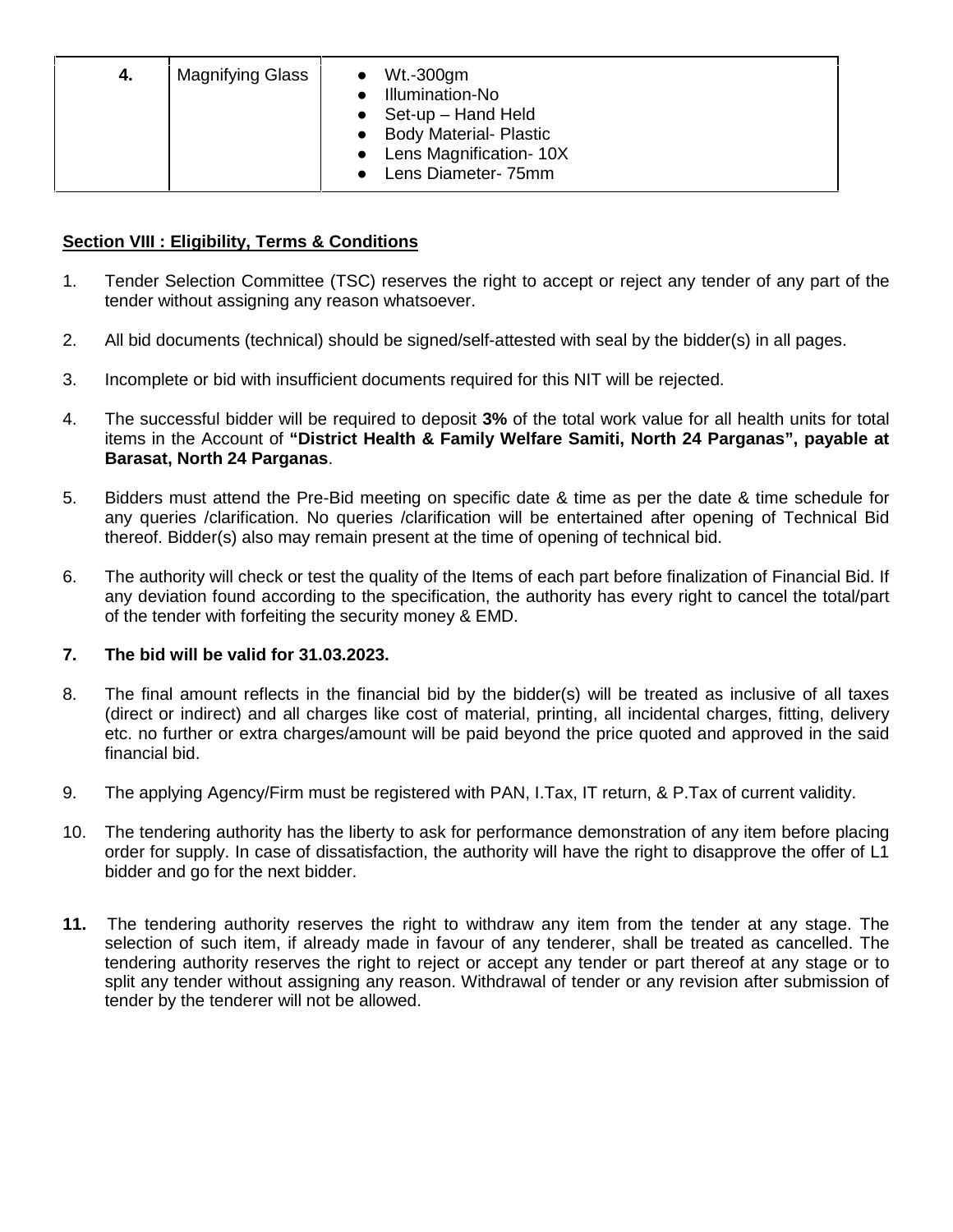| <b>Magnifying Glass</b><br>Wt.-300gm<br>-4.<br>Illumination-No<br>Set-up - Hand Held<br><b>Body Material- Plastic</b><br>Lens Magnification-10X<br>Lens Diameter- 75mm |  |
|------------------------------------------------------------------------------------------------------------------------------------------------------------------------|--|
|------------------------------------------------------------------------------------------------------------------------------------------------------------------------|--|

# **Section VIII : Eligibility, Terms & Conditions**

- 1. Tender Selection Committee (TSC) reserves the right to accept or reject any tender of any part of the tender without assigning any reason whatsoever.
- 2. All bid documents (technical) should be signed/self-attested with seal by the bidder(s) in all pages.
- 3. Incomplete or bid with insufficient documents required for this NIT will be rejected.
- 4. The successful bidder will be required to deposit **3%** of the total work value for all health units for total items in the Account of **"District Health & Family Welfare Samiti, North 24 Parganas", payable at Barasat, North 24 Parganas**.
- 5. Bidders must attend the Pre-Bid meeting on specific date & time as per the date & time schedule for any queries /clarification. No queries /clarification will be entertained after opening of Technical Bid thereof. Bidder(s) also may remain present at the time of opening of technical bid.
- 6. The authority will check or test the quality of the Items of each part before finalization of Financial Bid. If any deviation found according to the specification, the authority has every right to cancel the total/part of the tender with forfeiting the security money & EMD.

### **7. The bid will be valid for 31.03.2023.**

- 8. The final amount reflects in the financial bid by the bidder(s) will be treated as inclusive of all taxes (direct or indirect) and all charges like cost of material, printing, all incidental charges, fitting, delivery etc. no further or extra charges/amount will be paid beyond the price quoted and approved in the said financial bid.
- 9. The applying Agency/Firm must be registered with PAN, I.Tax, IT return, & P.Tax of current validity.
- 10. The tendering authority has the liberty to ask for performance demonstration of any item before placing order for supply. In case of dissatisfaction, the authority will have the right to disapprove the offer of L1 bidder and go for the next bidder.
- **11.** The tendering authority reserves the right to withdraw any item from the tender at any stage. The selection of such item, if already made in favour of any tenderer, shall be treated as cancelled. The tendering authority reserves the right to reject or accept any tender or part thereof at any stage or to split any tender without assigning any reason. Withdrawal of tender or any revision after submission of tender by the tenderer will not be allowed.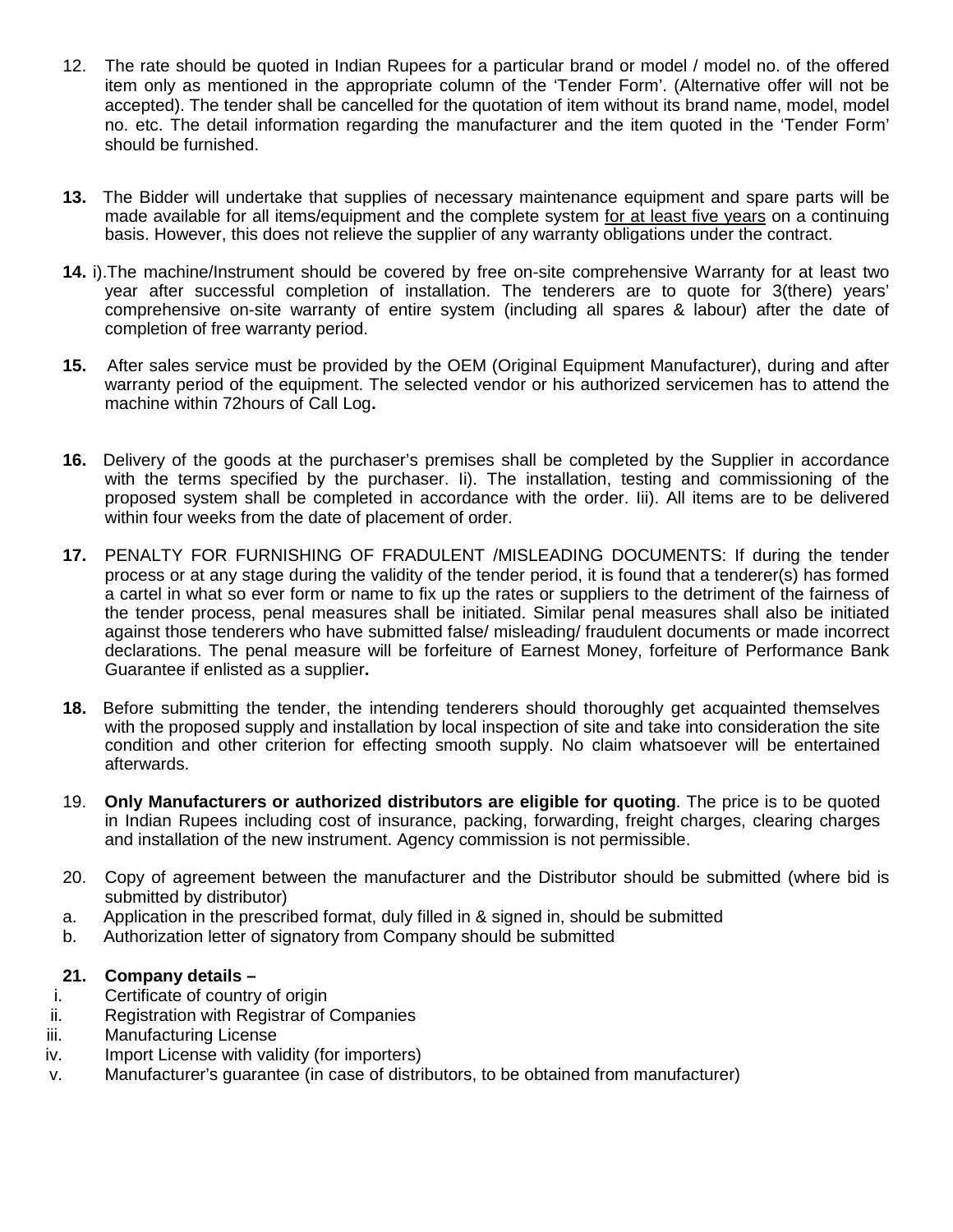- 12. The rate should be quoted in Indian Rupees for a particular brand or model / model no. of the offered item only as mentioned in the appropriate column of the 'Tender Form'. (Alternative offer will not be accepted). The tender shall be cancelled for the quotation of item without its brand name, model, model no. etc. The detail information regarding the manufacturer and the item quoted in the 'Tender Form' should be furnished.
- **13.** The Bidder will undertake that supplies of necessary maintenance equipment and spare parts will be made available for all items/equipment and the complete system for at least five years on a continuing basis. However, this does not relieve the supplier of any warranty obligations under the contract.
- **14.** i).The machine/Instrument should be covered by free on-site comprehensive Warranty for at least two year after successful completion of installation. The tenderers are to quote for 3(there) years' comprehensive on-site warranty of entire system (including all spares & labour) after the date of completion of free warranty period.
- **15.** After sales service must be provided by the OEM (Original Equipment Manufacturer), during and after warranty period of the equipment. The selected vendor or his authorized servicemen has to attend the machine within 72hours of Call Log**.**
- **16.** Delivery of the goods at the purchaser's premises shall be completed by the Supplier in accordance with the terms specified by the purchaser. Ii). The installation, testing and commissioning of the proposed system shall be completed in accordance with the order. Iii). All items are to be delivered within four weeks from the date of placement of order.
- **17.** PENALTY FOR FURNISHING OF FRADULENT /MISLEADING DOCUMENTS: If during the tender process or at any stage during the validity of the tender period, it is found that a tenderer(s) has formed a cartel in what so ever form or name to fix up the rates or suppliers to the detriment of the fairness of the tender process, penal measures shall be initiated. Similar penal measures shall also be initiated against those tenderers who have submitted false/ misleading/ fraudulent documents or made incorrect declarations. The penal measure will be forfeiture of Earnest Money, forfeiture of Performance Bank Guarantee if enlisted as a supplier**.**
- **18.** Before submitting the tender, the intending tenderers should thoroughly get acquainted themselves with the proposed supply and installation by local inspection of site and take into consideration the site condition and other criterion for effecting smooth supply. No claim whatsoever will be entertained afterwards.
- 19. **Only Manufacturers or authorized distributors are eligible for quoting**. The price is to be quoted in Indian Rupees including cost of insurance, packing, forwarding, freight charges, clearing charges and installation of the new instrument. Agency commission is not permissible.
- 20. Copy of agreement between the manufacturer and the Distributor should be submitted (where bid is submitted by distributor)
- a. Application in the prescribed format, duly filled in & signed in, should be submitted
- b. Authorization letter of signatory from Company should be submitted

### **21. Company details –**

- i. Certificate of country of origin
- ii. Registration with Registrar of Companies
- iii. Manufacturing License
- iv. Import License with validity (for importers)
- v. Manufacturer's guarantee (in case of distributors, to be obtained from manufacturer)